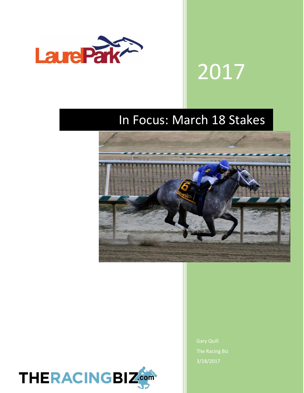

# 2017

## In Focus: March 18 Stakes





The Racing Biz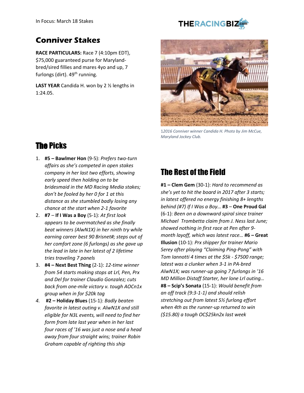#### **Conniver Stakes**

**RACE PARTICULARS:** Race 7 (4:10pm EDT), \$75,000 guaranteed purse for Marylandbred/sired fillies and mares 4yo and up, 7 furlongs (dirt).  $49<sup>th</sup>$  running.

**LAST YEAR** Candida H. won by 2 ½ lengths in 1:24.05.



1*2016 Conniver winner Candida H. Photo by Jim McCue, Maryland Jockey Club.*

#### The Picks

- 1. **#5 – Bawlmer Hon** (9-5): *Prefers two-turn affairs as she's competed in open stakes company in her last two efforts, showing early speed then holding on to be bridesmaid in the MD Racing Media stakes; don't be fooled by her 0 for 1 at this distance as she stumbled badly losing any chance at the start when 2-1 favorite*
- 2. **#7 If I Was a Boy** (5-1): *At first look appears to be overmatched as she finally beat winners (AlwN1X) in her ninth try while earning career best 90 Brisnet#; steps out of her comfort zone (6 furlongs) as she gave up the lead in late in her latest of 2 lifetime tries traveling 7 panels*
- 3. **#4 – Next Best Thing** (2-1): *12-time winner from 54 starts making stops at Lrl, Pen, Prx and Del for trainer Claudio Gonzalez; cuts back from one-mile victory v. tough AOCn1x group when in for \$20k tag*
- *4.* **#2 – Holiday Blues** (15-1): *Badly beaten favorite in latest outing v. AlwN1X and still eligible for N3L events, will need to find her form from late last year when in her last four races of '16 was just a nose and a head away from four straight wins; trainer Robin Graham capable of righting this ship*

## The Rest of the Field

**#1 – Clem Gem** (30-1): *Hard to recommend as she's yet to hit the board in 2017 after 3 starts; in latest offered no energy finishing 8+ lengths behind (#7) If I Was a Boy…* **#3** – **One Proud Gal**  (6-1): *Been on a downward spiral since trainer Michael Trombetta claim from J. Ness last June; showed nothing in first race at Pen after 9 month layoff, which was latest race…* **#6 – Great Illusion** (10-1): *Prx shipper for trainer Mario Serey after playing "Claiming Ping-Pong" with Tom Iannotti 4 times at the \$5k - \$7500 range; latest was a clunker when 3-1 in PA-bred AlwN1X; was runner-up going 7 furlongs in '16 MD Million Distaff Starter, her lone Lrl outing…* **#8 – Scip's Sonata** (15-1): *Would benefit from an off track (9:3-1-1) and should relish stretching out from latest 5½ furlong effort when 4th as the runner-up returned to win (\$15.80) a tough OC\$25kn2x last week*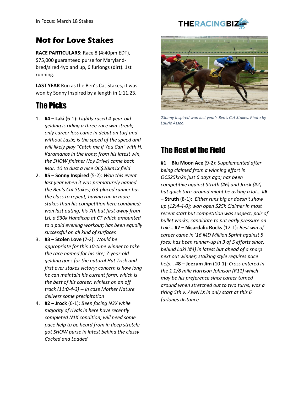#### **Not for Love Stakes**

**RACE PARTICULARS:** Race 8 (4:40pm EDT), \$75,000 guaranteed purse for Marylandbred/sired 4yo and up, 6 furlongs (dirt). 1st running.

**LAST YEAR** Run as the Ben's Cat Stakes, it was won by Sonny Inspired by a length in 1:11.23.

#### The Picks

- 1. **#4 – Laki** (6-1): *Lightly raced 4-year-old gelding is riding a three-race win streak; only career loss came in debut on turf and without Lasix; is the speed of the speed and will likely play "Catch me if You Can" with H. Karamanos in the irons; from his latest win, the SHOW finisher (Joy Drive) came back Mar. 10 to dust a nice OC\$20kn1x field*
- 2. **#5 Sonny Inspired** (5-2): *Won this event last year when it was prematurely named the Ben's Cat Stakes; G3-placed runner has the class to repeat, having run in more stakes than his competition here combined; won last outing, his 7th but first away from Lrl, a \$30k Handicap at CT which amounted to a paid evening workout; has been equally successful on all kind of surfaces*
- 3. **#3 – Stolen Love** (7-2): *Would be appropriate for this 10-time winner to take the race named for his sire; 7-year-old gelding goes for the natural Hat Trick and first ever stakes victory; concern is how long he can maintain his current form, which is the best of his career; winless on an off track (11:0-4-3) -- in case Mother Nature delivers some precipitation*
- 4. **#2 – Jrock** (6-1): *Been facing N3X while majority of rivals in here have recently completed N1X condition; will need some pace help to be heard from in deep stretch; got SHOW purse in latest behind the classy Cocked and Loaded*



*2Sonny Inspired won last year's Ben's Cat Stakes. Photo by Laurie Asseo.*

## The Rest of the Field

**#1** – **Blu Moon Ace** (9-2): *Supplemented after being claimed from a winning effort in OC\$25kn2x just 6 days ago; has been competitive against Struth (#6) and Jrock (#2) but quick turn-around might be asking a lot…* **#6 – Struth** (8-1): *Either runs big or doesn't show up (12:4-4-0); won open \$25k Claimer in most recent start but competition was suspect; pair of bullet works; candidate to put early pressure on Laki…* **#7 – Nicardalic Rocks** (12-1): *Best win of career came in '16 MD Million Sprint against 5 foes; has been runner-up in 3 of 5 efforts since, behind Laki (#4) in latest but ahead of a sharp next out winner; stalking style requires pace help…* **#8 – Jeezum Jim** (10-1): *Cross entered in the 1 1/8 mile Harrison Johnson (R11) which may be his preference since career turned around when stretched out to two turns; was a tiring 5th v. AlwN1X in only start at this 6 furlongs distance*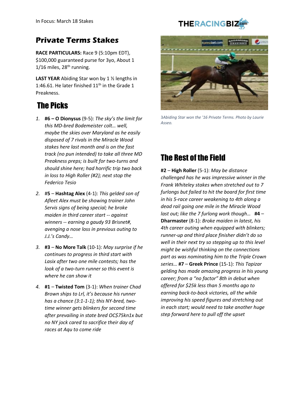#### **Private Terms Stakes**

**RACE PARTICULARS:** Race 9 (5:10pm EDT), \$100,000 guaranteed purse for 3yo, About 1  $1/16$  miles,  $28<sup>th</sup>$  running.

**LAST YEAR** Abiding Star won by 1 ½ lengths in 1:46.61. He later finished  $11<sup>th</sup>$  in the Grade 1 Preakness.

#### The Picks

- *1.* **#6 – O Dionysus** (9-5): *The sky's the limit for this MD-bred Bodemeister colt… well, maybe the skies over Maryland as he easily disposed of 7 rivals in the Miracle Wood stakes here last month and is on the fast track (no pun intended) to take all three MD Preakness preps; is built for two-turns and should shine here; had horrific trip two back in loss to High Roller (#2); next stop the Federico Tesio*
- *2.* #**5 Hashtag Alex** (4-1): *This gelded son of Afleet Alex must be showing trainer John Servis signs of being special; he broke maiden in third career start -- against winners -- earning a gaudy 93 Brisnet#, avenging a nose loss in previous outing to J.J.'s Candy…*
- *3.* **#3 No More Talk** (10-1): *May surprise if he continues to progress in third start with Lasix after two one mile contests; has the look of a two-turn runner so this event is where he can show it*
- *4.* **#1 Twisted Tom** (3-1): *When trainer Chad Brown ships to Lrl, it's because his runner has a chance (3:1-1-1); this NY-bred, twotime winner gets blinkers for second time after prevailing in state bred OC\$75kn1x but no NY jock cared to sacrifice their day of races at Aqu to come ride*



3*Abiding Star won the '16 Private Terms. Photo by Laurie Asseo.*

#### The Rest of the Field

**#2** – **High Roller** (5-1): *May be distance challenged has he was impressive winner in the Frank Whiteley stakes when stretched out to 7 furlongs but failed to hit the board for first time in his 5-race career weakening to 4th along a dead rail going one mile in the Miracle Wood last out; like the 7 furlong work though…* **#4** – **Dharmaster** (8-1): *Broke maiden in latest, his 4th career outing when equipped with blinkers; runner-up and third place finisher didn't do so well in their next try so stepping up to this level might be wishful thinking on the connections part as was nominating him to the Triple Crown series…* **#7** – **Greek Prince** (15-1): *This Tapizar gelding has made amazing progress in his young career; from a "no factor" 8th in debut when offered for \$25k less than 5 months ago to earning back-to-back victories, all the while improving his speed figures and stretching out in each start; would need to take another huge step forward here to pull off the upset*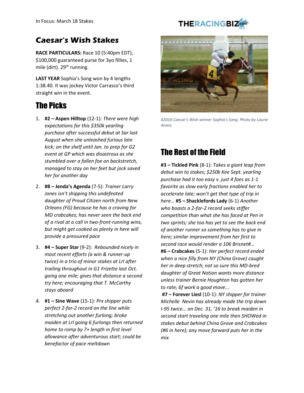#### **Caesar's Wish Stakes**

**RACE PARTICULARS:** Race 10 (5:40pm EDT), \$100,000 guaranteed purse for 3yo fillies, 1 mile (dirt). 29<sup>th</sup> running.

**LAST YEAR** Sophia's Song won by 4 lengths 1:38.40. It was jockey Victor Carrasco's third straight win in the event.

#### The Picks

- 1. **#2 – Aspen Hilltop** (12-1): *There were high expectations for this \$350k yearling purchase after successful debut at Sar last August when she unleashed furious late kick; on the shelf until Jan. to prep for G2 event at GP which was disastrous as she stumbled over a fallen foe on backstretch, managed to stay on her feet but jock saved her for another day*
- 2. **#8 – Jenda's Agenda** (7-5): *Trainer Larry Jones isn't shipping this undefeated daughter of Proud Citizen north from New Orleans (FG) because he has a craving for MD crabcakes; has never seen the back end of a rival at a call in two-front-running wins, but might get cooked as plenty in here will provide a pressured pace*
- 3. **#4 – Super Star** (9-2): *Rebounded nicely in most recent efforts (a win & runner-up twice) in a trio of minor stakes at Lrl after trailing throughout in G1 Frizette last Oct. going one mile; gives that distance a second try here; encouraging that T. McCarthy stays aboard*
- *4.* **#1 – Sine Wave** (15-1): *Prx shipper puts perfect 2-for-2 record on the line while stretching out another furlong; broke maiden at Lrl going 6 furlongs then returned home to romp by 7+ length in first level allowance after adventurous start; could be benefactor of pace meltdown*



*42016 Caesar's Wish winner Sophia's Song. Photo by Laurie Asseo.*

#### The Rest of the Field

**#3 – Tickled Pink** (8-1): *Takes a giant leap from debut win to stakes; \$250k Kee Sept. yearling purchase had it too easy v. just 4 foes as 1-1 favorite as slow early fractions enabled her to accelerate late; won't get that type of trip in here…* **#5 – Shacklefords Lady** (6-1) *Another who boasts a 2-for-2 record seeks stiffer competition than what she has faced at Pen in two sprints; she too has yet to see the back end of another runner so something has to give in here; similar improvement from her first to second race would render a 106 Brisnet#…*  **#6 – Crabcakes** (5-1): *Her perfect record ended when a nice filly from NY (China Grove) caught her in deep stretch; not so sure this MD-bred daughter of Great Notion wants more distance unless trainer Bernie Houghton has gotten her to rate; 6f work a good move...* 

**#7 – Forever Liesl** (10-1): *NY shipper for trainer Michelle Nevin has already made the trip down I-95 twice… on Dec. 31, '16 to break maiden in second start traveling one mile then SHOWed in stakes debut behind China Grove and Crabcakes (#6 in here); any move forward puts her in the mix*